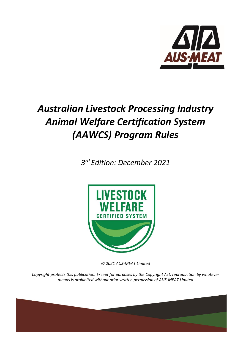

# *Australian Livestock Processing Industry Animal Welfare Certification System (AAWCS) Program Rules*

*3 rd Edition: December 2021*



*© 2021 AUS-MEAT Limited*

*Copyright protects this publication. Except for purposes by the Copyright Act, reproduction by whatever means is prohibited without prior written permission of AUS-MEAT Limited*

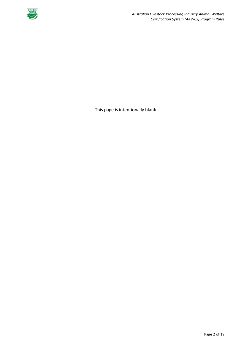

This page is intentionally blank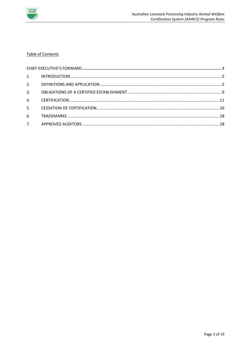

# Table of Contents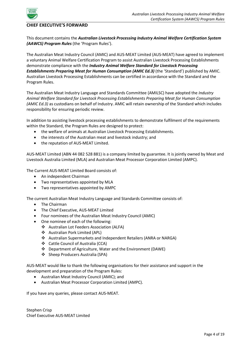

# <span id="page-3-0"></span>**CHIEF EXECUTIVE'S FORWARD**

This document contains the *Australian Livestock Processing Industry Animal Welfare Certification System (AAWCS) Program Rules* (the 'Program Rules').

The Australian Meat Industry Council (AMIC) and AUS-MEAT Limited (AUS-MEAT) have agreed to implement a voluntary Animal Welfare Certification Program to assist Australian Livestock Processing Establishments demonstrate compliance with the *Industry Animal Welfare Standard for Livestock Processing Establishments Preparing Meat for Human Consumption (AMIC Ed.3)* (the 'Standard') published by AMIC. Australian Livestock Processing Establishments can be certified in accordance with the Standard and the Program Rules.

The Australian Meat Industry Language and Standards Committee (AMILSC) have adopted the *Industry Animal Welfare Standard for Livestock Processing Establishments Preparing Meat for Human Consumption (AMIC Ed.3)* as custodians on behalf of Industry. AMIC will retain ownership of the Standard which includes responsibility for ensuring periodic review.

In addition to assisting livestock processing establishments to demonstrate fulfilment of the requirements within the Standard, the Program Rules are designed to protect:

- the welfare of animals at Australian Livestock Processing Establishments.
- the interests of the Australian meat and livestock industry; and
- the reputation of AUS-MEAT Limited.

AUS-MEAT Limited (ABN 44 082 528 881) is a company limited by guarantee. It is jointly owned by Meat and Livestock Australia Limited (MLA) and Australian Meat Processor Corporation Limited (AMPC).

The Current AUS-MEAT Limited Board consists of:

- An independent Chairman
- Two representatives appointed by MLA
- Two representatives appointed by AMPC

The current Australian Meat Industry Language and Standards Committee consists of:

- The Chairman
- The Chief Executive, AUS-MEAT Limited
- Four nominees of the Australian Meat Industry Council (AMIC)
- One nominee of each of the following:
	- ❖ Australian Lot Feeders Association (ALFA)
	- ❖ Australian Pork Limited (APL)
	- ❖ Australian Supermarkets and Independent Retailers (ANRA or NARGA)
	- ❖ Cattle Council of Australia (CCA)
	- ❖ Department of Agriculture, Water and the Environment (DAWE)
	- ❖ Sheep Producers Australia (SPA)

AUS-MEAT would like to thank the following organisations for their assistance and support in the development and preparation of the Program Rules:

- Australian Meat Industry Council (AMIC); and
- Australian Meat Processor Corporation Limited (AMPC).

If you have any queries, please contact AUS-MEAT.

Stephen Crisp Chief Executive AUS-MEAT Limited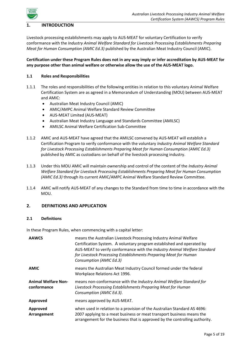

# <span id="page-4-0"></span>**1. INTRODUCTION**

Livestock processing establishments may apply to AUS-MEAT for voluntary Certification to verify conformance with the *Industry Animal Welfare Standard for Livestock Processing Establishments Preparing Meat for Human Consumption (AMIC Ed.3)* published by the Australian Meat Industry Council (AMIC).

## **Certification under these Program Rules does not in any way imply or infer accreditation by AUS-MEAT for any purpose other than animal welfare or otherwise allow the use of the AUS-MEAT logo.**

#### **1.1 Roles and Responsibilities**

- 1.1.1 The roles and responsibilities of the following entities in relation to this voluntary Animal Welfare Certification System are as agreed in a Memorandum of Understanding (MOU) between AUS-MEAT and AMIC:
	- Australian Meat Industry Council (AMIC)
	- AMIC/AMPC Animal Welfare Standard Review Committee
	- AUS-MEAT Limited (AUS-MEAT)
	- Australian Meat Industry Language and Standards Committee (AMILSC)
	- AMILSC Animal Welfare Certification Sub-Committee
- 1.1.2 AMIC and AUS-MEAT have agreed that the AMILSC convened by AUS-MEAT will establish a Certification Program to verify conformance with the voluntary *Industry Animal Welfare Standard for Livestock Processing Establishments Preparing Meat for Human Consumption (AMIC Ed.3)*  published by AMIC as custodians on behalf of the livestock processing industry.
- 1.1.3 Under this MOU AMIC will maintain ownership and control of the content of the *Industry Animal Welfare Standard for Livestock Processing Establishments Preparing Meat for Human Consumption (AMIC Ed.3)* through its current AMIC/AMPC Animal Welfare Standard Review Committee.
- 1.1.4 AMIC will notify AUS-MEAT of any changes to the Standard from time to time in accordance with the MOU.

#### <span id="page-4-1"></span>**2. DEFINITIONS AND APPLICATION**

### **2.1 Definitions**

In these Program Rules, when commencing with a capital letter:

| <b>AAWCS</b>                              | means the Australian Livestock Processing Industry Animal Welfare<br>Certification System. A voluntary program established and operated by<br>AUS-MEAT to verify conformance with the Industry Animal Welfare Standard<br>for Livestock Processing Establishments Preparing Meat for Human<br>Consumption (AMIC Ed.3) |
|-------------------------------------------|-----------------------------------------------------------------------------------------------------------------------------------------------------------------------------------------------------------------------------------------------------------------------------------------------------------------------|
| <b>AMIC</b>                               | means the Australian Meat Industry Council formed under the federal<br>Workplace Relations Act 1996.                                                                                                                                                                                                                  |
| <b>Animal Welfare Non-</b><br>conformance | means non-conformance with the Industry Animal Welfare Standard for<br>Livestock Processing Establishments Preparing Meat for Human<br>Consumption (AMIC Ed.3).                                                                                                                                                       |
| Approved                                  | means approved by AUS-MEAT.                                                                                                                                                                                                                                                                                           |
| Approved<br>Arrangement                   | when used in relation to a provision of the Australian Standard AS 4696:<br>2007 applying to a meat business or meat transport business means the<br>arrangement for the business that is approved by the controlling authority.                                                                                      |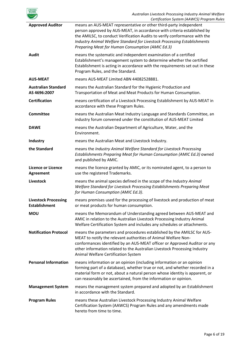

| <b>Approved Auditor</b>                                                                       | means an AUS-MEAT representative or other third-party independent<br>person approved by AUS-MEAT, in accordance with criteria established by<br>the AMILSC, to conduct Verification Audits to verify conformance with the<br>Industry Animal Welfare Standard for Livestock Processing Establishments<br>Preparing Meat for Human Consumption (AMIC Ed.3) |  |
|-----------------------------------------------------------------------------------------------|-----------------------------------------------------------------------------------------------------------------------------------------------------------------------------------------------------------------------------------------------------------------------------------------------------------------------------------------------------------|--|
| Audit                                                                                         | means the systematic and independent examination of a certified<br>Establishment's management system to determine whether the certified<br>Establishment is acting in accordance with the requirements set out in these<br>Program Rules, and the Standard.                                                                                               |  |
| <b>AUS-MEAT</b>                                                                               | means AUS-MEAT Limited ABN 44082528881.                                                                                                                                                                                                                                                                                                                   |  |
| <b>Australian Standard</b><br>AS 4696:2007                                                    | means the Australian Standard for the Hygienic Production and<br>Transportation of Meat and Meat Products for Human Consumption.                                                                                                                                                                                                                          |  |
| <b>Certification</b>                                                                          | means certification of a Livestock Processing Establishment by AUS-MEAT in<br>accordance with these Program Rules.                                                                                                                                                                                                                                        |  |
| <b>Committee</b>                                                                              | means the Australian Meat Industry Language and Standards Committee, an<br>industry forum convened under the constitution of AUS-MEAT Limited                                                                                                                                                                                                             |  |
| means the Australian Department of Agriculture, Water, and the<br><b>DAWE</b><br>Environment. |                                                                                                                                                                                                                                                                                                                                                           |  |
| Industry                                                                                      | means the Australian Meat and Livestock Industry.                                                                                                                                                                                                                                                                                                         |  |
| the Standard                                                                                  | means the Industry Animal Welfare Standard for Livestock Processing<br>Establishments Preparing Meat for Human Consumption (AMIC Ed.3) owned<br>and published by AMIC.                                                                                                                                                                                    |  |
| <b>Licence or Licence</b><br>Agreement                                                        | means the licence granted by AMIC, or its nominated agent, to a person to<br>use the registered Trademarks.                                                                                                                                                                                                                                               |  |
| <b>Livestock</b>                                                                              | means the animal species defined in the scope of the Industry Animal<br>Welfare Standard for Livestock Processing Establishments Preparing Meat<br>for Human Consumption (AMIC Ed.3).                                                                                                                                                                     |  |
| <b>Livestock Processing</b><br><b>Establishment</b>                                           | means premises used for the processing of livestock and production of meat<br>or meat products for human consumption.                                                                                                                                                                                                                                     |  |
| <b>MOU</b>                                                                                    | means the Memorandum of Understanding agreed between AUS-MEAT and<br>AMIC in relation to the Australian Livestock Processing Industry Animal<br>Welfare Certification System and includes any schedules or attachments.                                                                                                                                   |  |
| <b>Notification Protocol</b>                                                                  | means the parameters and procedures established by the AMILSC for AUS-<br>MEAT to notify the relevant authorities of Animal Welfare Non-<br>conformances identified by an AUS-MEAT officer or Approved Auditor or any<br>other information related to the Australian Livestock Processing Industry<br>Animal Welfare Certification System                 |  |
| <b>Personal Information</b>                                                                   | means information or an opinion (including information or an opinion<br>forming part of a database), whether true or not, and whether recorded in a<br>material form or not, about a natural person whose identity is apparent, or<br>can reasonably be ascertained, from the information or opinion.                                                     |  |
| <b>Management System</b>                                                                      | means the management system prepared and adopted by an Establishment<br>in accordance with the Standard.                                                                                                                                                                                                                                                  |  |
| <b>Program Rules</b>                                                                          | means these Australian Livestock Processing Industry Animal Welfare<br>Certification System (AAWCS) Program Rules and any amendments made<br>hereto from time to time.                                                                                                                                                                                    |  |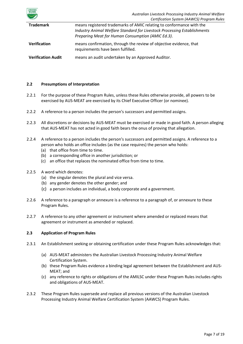| <b>LIVESTOCK</b><br>WELFARE | Australian Livestock Processing Industry Animal Welfare<br>Certification System (AAWCS) Program Rules                                                                                                 |
|-----------------------------|-------------------------------------------------------------------------------------------------------------------------------------------------------------------------------------------------------|
| <b>Trademark</b>            | means registered trademarks of AMIC relating to conformance with the<br>Industry Animal Welfare Standard for Livestock Processing Establishments<br>Preparing Meat for Human Consumption (AMIC Ed.3). |
| <b>Verification</b>         | means confirmation, through the review of objective evidence, that<br>requirements have been fulfilled.                                                                                               |
| <b>Verification Audit</b>   | means an audit undertaken by an Approved Auditor.                                                                                                                                                     |

### **2.2 Presumptions of Interpretation**

- 2.2.1 For the purpose of these Program Rules, unless these Rules otherwise provide, all powers to be exercised by AUS-MEAT are exercised by its Chief Executive Officer (or nominee).
- 2.2.2 A reference to a person includes the person's successors and permitted assigns.
- 2.2.3 All discretions or decisions by AUS-MEAT must be exercised or made in good faith. A person alleging that AUS-MEAT has not acted in good faith bears the onus of proving that allegation.
- 2.2.4 A reference to a person includes the person's successors and permitted assigns. A reference to a person who holds an office includes (as the case requires) the person who holds:
	- (a) that office from time to time.
	- (b) a corresponding office in another jurisdiction; or
	- (c) an office that replaces the nominated office from time to time.
- 2.2.5 A word which denotes:
	- (a) the singular denotes the plural and vice versa.
	- (b) any gender denotes the other gender; and
	- (c) a person includes an individual, a body corporate and a government.
- 2.2.6 A reference to a paragraph or annexure is a reference to a paragraph of, or annexure to these Program Rules.
- 2.2.7 A reference to any other agreement or instrument where amended or replaced means that agreement or instrument as amended or replaced.

#### **2.3 Application of Program Rules**

- 2.3.1 An Establishment seeking or obtaining certification under these Program Rules acknowledges that:
	- (a) AUS-MEAT administers the Australian Livestock Processing Industry Animal Welfare Certification System.
	- (b) these Program Rules evidence a binding legal agreement between the Establishment and AUS-MEAT; and
	- (c) any reference to rights or obligations of the AMILSC under these Program Rules includes rights and obligations of AUS-MEAT.
- 2.3.2 These Program Rules supersede and replace all previous versions of the Australian Livestock Processing Industry Animal Welfare Certification System (AAWCS) Program Rules.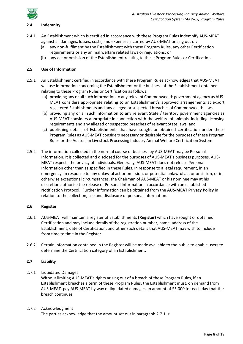

## **2.4 Indemnity**

- 2.4.1 An Establishment which is certified in accordance with these Program Rules indemnify AUS-MEAT against all damages, losses, costs, and expenses incurred by AUS-MEAT arising out of:
	- (a) any non-fulfilment by the Establishment with these Program Rules, any other Certification requirements or any animal welfare related laws or regulations; or
	- (b) any act or omission of the Establishment relating to these Program Rules or Certification.

#### **2.5 Use of Information**

- 2.5.1 An Establishment certified in accordance with these Program Rules acknowledges that AUS-MEAT will use information concerning the Establishment or the business of the Establishment obtained relating to these Program Rules or Certification as follows:
	- (a) providing any or all such information to any relevant Commonwealth government agency as AUS-MEAT considers appropriate relating to an Establishment's approved arrangements at export registered Establishments and any alleged or suspected breaches of Commonwealth laws.
	- (b) providing any or all such information to any relevant State / territory government agencies as AUS-MEAT considers appropriate in connection with the welfare of animals, including licensing requirements and any alleged or suspected breaches of relevant State laws; and
	- (c) publishing details of Establishments that have sought or obtained certification under these Program Rules as AUS-MEAT considers necessary or desirable for the purposes of these Program Rules or the Australian Livestock Processing Industry Animal Welfare Certification System.
- 2.5.2 The information collected in the normal course of business by AUS-MEAT may be Personal Information. It is collected and disclosed for the purposes of AUS-MEAT's business purposes. AUS-MEAT respects the privacy of individuals. Generally, AUS-MEAT does not release Personal Information other than as specified in these Rules. In response to a legal requirement, in an emergency, in response to any unlawful act or omission, or potential unlawful act or omission, or in otherwise exceptional circumstances, the Chairman of AUS-MEAT or his nominee may at his discretion authorise the release of Personal Information in accordance with an established Notification Protocol. Further information can be obtained from the **AUS-MEAT Privacy Policy** in relation to the collection, use and disclosure of personal information.

#### **2.6 Register**

- 2.6.1 AUS-MEAT will maintain a register of Establishments **(Register)** which have sought or obtained Certification and may include details of the registration number, name, address of the Establishment, date of Certification, and other such details that AUS-MEAT may wish to include from time to time in the Register.
- 2.6.2 Certain information contained in the Register will be made available to the public to enable users to determine the Certification category of an Establishment.

#### **2.7 Liability**

#### 2.7.1 Liquidated Damages

Without limiting AUS-MEAT's rights arising out of a breach of these Program Rules, if an Establishment breaches a term of these Program Rules, the Establishment must, on demand from AUS-MEAT, pay AUS-MEAT by way of liquidated damages an amount of \$5,000 for each day that the breach continues.

#### 2.7.2 Acknowledgment

The parties acknowledge that the amount set out in paragraph 2.7.1 is: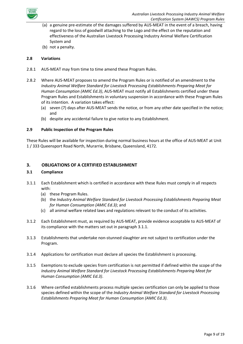

- (a) a genuine pre-estimate of the damages suffered by AUS-MEAT in the event of a breach, having regard to the loss of goodwill attaching to the Logo and the effect on the reputation and effectiveness of the Australian Livestock Processing Industry Animal Welfare Certification System and
- (b) not a penalty.

# **2.8 Variations**

- 2.8.1 AUS-MEAT may from time to time amend these Program Rules.
- 2.8.2 Where AUS-MEAT proposes to amend the Program Rules or is notified of an amendment to the *Industry Animal Welfare Standard for Livestock Processing Establishments Preparing Meat for Human Consumption (AMIC Ed.3)*, AUS-MEAT must notify all Establishments certified under these Program Rules and Establishments in voluntary suspension in accordance with these Program Rules of its intention. A variation takes effect:
	- (a) seven (7) days after AUS-MEAT sends the notice, or from any other date specified in the notice; and
	- (b) despite any accidental failure to give notice to any Establishment.

## **2.9 Public Inspection of the Program Rules**

These Rules will be available for inspection during normal business hours at the office of AUS-MEAT at Unit 1 / 333 Queensport Road North, Murarrie, Brisbane, Queensland, 4172.

# <span id="page-8-0"></span>**3. OBLIGATIONS OF A CERTIFIED ESTABLISHMENT**

#### **3.1 Compliance**

- 3.1.1 Each Establishment which is certified in accordance with these Rules must comply in all respects with:
	- (a) these Program Rules.
	- (b) the *Industry Animal Welfare Standard for Livestock Processing Establishments Preparing Meat for Human Consumption (AMIC Ed.3)*; and
	- (c) all animal welfare related laws and regulations relevant to the conduct of its activities.
- 3.1.2 Each Establishment must, as required by AUS-MEAT, provide evidence acceptable to AUS-MEAT of its compliance with the matters set out in paragraph 3.1.1.
- 3.1.3 Establishments that undertake non-stunned slaughter are not subject to certification under the Program.
- 3.1.4 Applications for certification must declare all species the Establishment is processing.
- 3.1.5 Exemptions to exclude species from certification is not permitted if defined within the scope of the *Industry Animal Welfare Standard for Livestock Processing Establishments Preparing Meat for Human Consumption (AMIC Ed.3)*.
- 3.1.6 Where certified establishments process multiple species certification can only be applied to those species defined within the scope of the *Industry Animal Welfare Standard for Livestock Processing Establishments Preparing Meat for Human Consumption (AMIC Ed.3)*.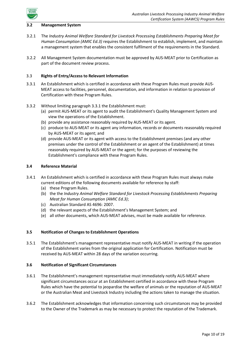

# **3.2 Management System**

- 3.2.1 The *Industry Animal Welfare Standard for Livestock Processing Establishments Preparing Meat for Human Consumption (AMIC Ed.3)* requires the Establishment to establish, implement, and maintain a management system that enables the consistent fulfilment of the requirements in the Standard.
- 3.2.2 All Management System documentation must be approved by AUS-MEAT prior to Certification as part of the document review process.

#### 3.3 **Rights of Entry/Access to Relevant Information**

- 3.3.1 An Establishment which is certified in accordance with these Program Rules must provide AUS-MEAT access to facilities, personnel, documentation, and information in relation to provision of Certification with these Program Rules.
- 3.3.2 Without limiting paragraph 3.3.1 the Establishment must:
	- (a) permit AUS-MEAT or its agent to audit the Establishment's Quality Management System and view the operations of the Establishment.
	- (b) provide any assistance reasonably required by AUS-MEAT or its agent.
	- (c) produce to AUS-MEAT or its agent any information, records or documents reasonably required by AUS-MEAT or its agent; and
	- (d) provide AUS-MEAT or its agent with access to the Establishment premises (and any other premises under the control of the Establishment or an agent of the Establishment) at times reasonably required by AUS-MEAT or the agent; for the purposes of reviewing the Establishment's compliance with these Program Rules.

#### **3.4 Reference Material**

- 3.4.1 An Establishment which is certified in accordance with these Program Rules must always make current editions of the following documents available for reference by staff:
	- (a) these Program Rules.
	- (b) the the *Industry Animal Welfare Standard for Livestock Processing Establishments Preparing Meat for Human Consumption (AMIC Ed.3)*;
	- (c) Australian Standard AS 4696: 2007.
	- (d) the relevant aspects of the Establishment's Management System; and
	- (e) all other documents, which AUS-MEAT advises, must be made available for reference.

#### **3.5 Notification of Changes to Establishment Operations**

3.5.1 The Establishment's management representative must notify AUS-MEAT in writing if the operation of the Establishment varies from the original application for Certification. Notification must be received by AUS-MEAT within 28 days of the variation occurring.

#### **3.6 Notification of Significant Circumstances**

- 3.6.1 The Establishment's management representative must immediately notify AUS-MEAT where significant circumstances occur at an Establishment certified in accordance with these Program Rules which have the potential to jeopardise the welfare of animals or the reputation of AUS-MEAT or the Australian Meat and Livestock Industry including the actions taken to manage the situation.
- 3.6.2 The Establishment acknowledges that information concerning such circumstances may be provided to the Owner of the Trademark as may be necessary to protect the reputation of the Trademark.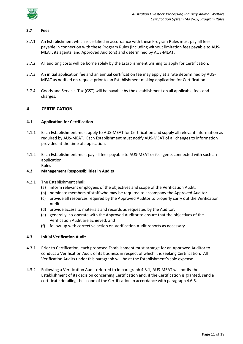

## **3.7 Fees**

- 3.7.1 An Establishment which is certified in accordance with these Program Rules must pay all fees payable in connection with these Program Rules (including without limitation fees payable to AUS-MEAT, its agents, and Approved Auditors) and determined by AUS-MEAT.
- 3.7.2 All auditing costs will be borne solely by the Establishment wishing to apply for Certification.
- 3.7.3 An initial application fee and an annual certification fee may apply at a rate determined by AUS-MEAT as notified on request prior to an Establishment making application for Certification.
- 3.7.4 Goods and Services Tax (GST) will be payable by the establishment on all applicable fees and charges.

# <span id="page-10-0"></span>**4. CERTIFICATION**

#### **4.1 Application for Certification**

- 4.1.1 Each Establishment must apply to AUS-MEAT for Certification and supply all relevant information as required by AUS-MEAT. Each Establishment must notify AUS-MEAT of all changes to information provided at the time of application.
- 4.1.2 Each Establishment must pay all fees payable to AUS-MEAT or its agents connected with such an application.

Rules

## **4.2 Management Responsibilities in Audits**

- 4.2.1 The Establishment shall:
	- (a) inform relevant employees of the objectives and scope of the Verification Audit.
	- (b) nominate members of staff who may be required to accompany the Approved Auditor.
	- (c) provide all resources required by the Approved Auditor to properly carry out the Verification Audit.
	- (d) provide access to materials and records as requested by the Auditor.
	- (e) generally, co-operate with the Approved Auditor to ensure that the objectives of the Verification Audit are achieved; and
	- (f) follow-up with corrective action on Verification Audit reports as necessary.

#### **4.3 Initial Verification Audit**

- 4.3.1 Prior to Certification, each proposed Establishment must arrange for an Approved Auditor to conduct a Verification Audit of its business in respect of which it is seeking Certification. All Verification Audits under this paragraph will be at the Establishment's sole expense.
- 4.3.2 Following a Verification Audit referred to in paragraph 4.3.1; AUS-MEAT will notify the Establishment of its decision concerning Certification and, if the Certification is granted, send a certificate detailing the scope of the Certification in accordance with paragraph 4.6.5.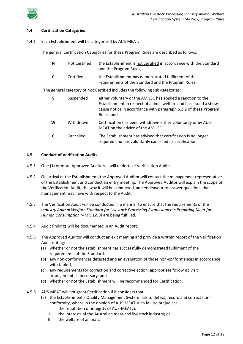

#### **4.4 Certification Categories**

4.4.1 Each Establishment will be categorised by AUS-MEAT.

The general Certification Categories for these Program Rules are described as follows:

| N | Not Certified | the Establishment is not certified in accordance with the Standard |
|---|---------------|--------------------------------------------------------------------|
|   |               | and the Program Rules;                                             |
|   |               |                                                                    |

**C** Certified the Establishment has demonstrated fulfilment of the requirements of the Standard and the Program Rules.;

The general category of Not Certified includes the following sub-categories*:*

|          | Suspended | either voluntary or the AMILSC has applied a sanction to the<br>Establishment in respect of animal welfare and has issued a show<br>cause notice in accordance with paragraph 5.3.2 of these Program<br>Rules; and |  |
|----------|-----------|--------------------------------------------------------------------------------------------------------------------------------------------------------------------------------------------------------------------|--|
| W        | Withdrawn | Certification has been withdrawn either voluntarily or by AUS-<br>MEAT on the advice of the AMILSC.                                                                                                                |  |
| <b>C</b> | Cancelled | The Establishment has advised that certification is no longer<br>required and has voluntarily cancelled its certification.                                                                                         |  |

#### **4.5 Conduct of Verification Audits**

- 4.5.1 One (1) or more Approved Auditor(s) will undertake Verification Audits.
- 4.5.2 On arrival at the Establishment, the Approved Auditor will contact the management representative of the Establishment and conduct an entry meeting. The Approved Auditor will explain the scope of the Verification Audit, the way it will be conducted, and endeavour to answer questions that management may have with respect to the Audit.
- 4.5.3 The Verification Audit will be conducted in a manner to ensure that the requirements of the *Industry Animal Welfare Standard for Livestock Processing Establishments Preparing Meat for Human Consumption (AMIC Ed.3)* are being fulfilled.
- 4.5.4 Audit findings will be documented in an Audit report.
- 4.5.5 The Approved Auditor will conduct an exit meeting and provide a written report of the Verification Audit noting:
	- (a) whether or not the establishment has successfully demonstrated fulfilment of the requirements of the Standard.
	- (b) any non-conformances detected and an evaluation of those non-conformances in accordance with table 1;
	- (c) any requirements for correction and corrective action, appropriate follow up visit arrangements if necessary; and
	- (d) whether or not the Establishment will be recommended for Certification.
- 4.5.6 AUS-MEAT will not grant Certification if it considers that:
	- (a) the Establishment's Quality Management System fails to detect, record and correct nonconformity, where in the opinion of AUS-MEAT such failure prejudices:
		- I. the reputation or integrity of AUS-MEAT; or
		- II. the interests of the Australian meat and livestock industry; or
		- III. the welfare of animals.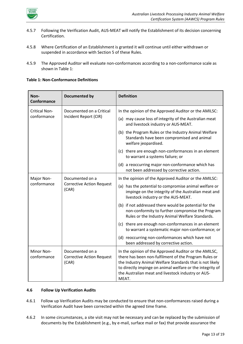

- 4.5.7 Following the Verification Audit, AUS-MEAT will notify the Establishment of its decision concerning Certification.
- 4.5.8 Where Certification of an Establishment is granted it will continue until either withdrawn or suspended in accordance with Section 5 of these Rules.
- 4.5.9 The Approved Auditor will evaluate non-conformances according to a non-conformance scale as shown in Table 1:

|  |  |  |  | <b>Table 1: Non-Conformance Definitions</b> |
|--|--|--|--|---------------------------------------------|
|--|--|--|--|---------------------------------------------|

| Non-<br>Conformance       | Documented by                                                | <b>Definition</b>                                                                                                                                                                                                                                                                                      |  |
|---------------------------|--------------------------------------------------------------|--------------------------------------------------------------------------------------------------------------------------------------------------------------------------------------------------------------------------------------------------------------------------------------------------------|--|
| Critical Non-             | Documented on a Critical                                     | In the opinion of the Approved Auditor or the AMILSC:                                                                                                                                                                                                                                                  |  |
| conformance               | Incident Report (CIR)                                        | (a) may cause loss of integrity of the Australian meat<br>and livestock industry or AUS-MEAT.                                                                                                                                                                                                          |  |
|                           |                                                              | (b) the Program Rules or the Industry Animal Welfare<br>Standards have been compromised and animal<br>welfare jeopardised.                                                                                                                                                                             |  |
|                           |                                                              | (c) there are enough non-conformances in an element<br>to warrant a systems failure; or                                                                                                                                                                                                                |  |
|                           |                                                              | (d) a reoccurring major non-conformance which has<br>not been addressed by corrective action.                                                                                                                                                                                                          |  |
| Major Non-                | Documented on a<br><b>Corrective Action Request</b><br>(CAR) | In the opinion of the Approved Auditor or the AMILSC:                                                                                                                                                                                                                                                  |  |
| conformance               |                                                              | (a) has the potential to compromise animal welfare or<br>impinge on the integrity of the Australian meat and<br>livestock industry or the AUS-MEAT.                                                                                                                                                    |  |
|                           |                                                              | (b) if not addressed there would be potential for the<br>non-conformity to further compromise the Program<br>Rules or the Industry Animal Welfare Standards.                                                                                                                                           |  |
|                           |                                                              | (c) there are enough non-conformances in an element<br>to warrant a systematic major non-conformance; or                                                                                                                                                                                               |  |
|                           |                                                              | (d) reoccurring non-conformances which have not<br>been addressed by corrective action.                                                                                                                                                                                                                |  |
| Minor Non-<br>conformance | Documented on a<br><b>Corrective Action Request</b><br>(CAR) | In the opinion of the Approved Auditor or the AMILSC,<br>there has been non-fulfilment of the Program Rules or<br>the Industry Animal Welfare Standards that is not likely<br>to directly impinge on animal welfare or the integrity of<br>the Australian meat and livestock industry or AUS-<br>MEAT. |  |

#### **4.6 Follow Up Verification Audits**

- 4.6.1 Follow up Verification Audits may be conducted to ensure that non-conformances raised during a Verification Audit have been corrected within the agreed time frame.
- 4.6.2 In some circumstances, a site visit may not be necessary and can be replaced by the submission of documents by the Establishment (e.g., by e-mail, surface mail or fax) that provide assurance the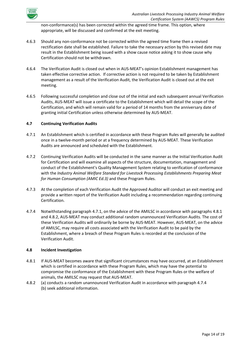

non-conformance(s) has been corrected within the agreed time frame. This option, where appropriate, will be discussed and confirmed at the exit meeting.

- 4.6.3 Should any non-conformance not be corrected within the agreed time frame then a revised rectification date shall be established. Failure to take the necessary action by this revised date may result in the Establishment being issued with a show cause notice asking it to show cause why Certification should not be withdrawn.
- 4.6.4 The Verification Audit is closed out when in AUS-MEAT's opinion Establishment management has taken effective corrective action. If corrective action is not required to be taken by Establishment management as a result of the Verification Audit, the Verification Audit is closed out at the exit meeting.
- 4.6.5 Following successful completion and close out of the initial and each subsequent annual Verification Audits, AUS-MEAT will issue a certificate to the Establishment which will detail the scope of the Certification, and which will remain valid for a period of 14 months from the anniversary date of granting initial Certification unless otherwise determined by AUS-MEAT.

## **4.7 Continuing Verification Audits**

- 4.7.1 An Establishment which is certified in accordance with these Program Rules will generally be audited once in a twelve-month period or at a frequency determined by AUS-MEAT. These Verification Audits are announced and scheduled with the Establishment.
- 4.7.2 Continuing Verification Audits will be conducted in the same manner as the Initial Verification Audit for Certification and will examine all aspects of the structure, documentation, management and conduct of the Establishment's Quality Management System relating to verification of conformance with the *Industry Animal Welfare Standard for Livestock Processing Establishments Preparing Meat for Human Consumption (AMIC Ed.3)* and these Program Rules.
- 4.7.3 At the completion of each Verification Audit the Approved Auditor will conduct an exit meeting and provide a written report of the Verification Audit including a recommendation regarding continuing Certification.
- 4.7.4 Notwithstanding paragraph 4.7.1, on the advice of the AMILSC in accordance with paragraphs 4.8.1 and 4.8.2, AUS-MEAT may conduct additional random unannounced Verification Audits. The cost of these Verification Audits will ordinarily be borne by AUS-MEAT. However, AUS-MEAT, on the advice of AMILSC, may require all costs associated with the Verification Audit to be paid by the Establishment, where a breach of these Program Rules is recorded at the conclusion of the Verification Audit.

#### **4.8 Incident Investigation**

- 4.8.1 If AUS-MEAT becomes aware that significant circumstances may have occurred, at an Establishment which is certified in accordance with these Program Rules, which may have the potential to compromise the conformance of the Establishment with these Program Rules or the welfare of animals, the AMILSC may request that AUS-MEAT.
- 4.8.2 (a) conducts a random unannounced Verification Audit in accordance with paragraph 4.7.4 (b) seek additional information.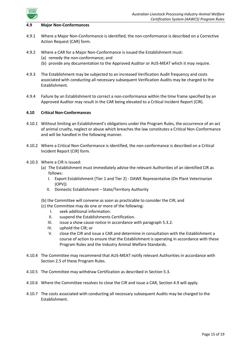

# **4.9 Major Non-Conformances**

- 4.9.1 Where a Major Non-Conformance is identified, the non-conformance is described on a Corrective Action Request (CAR) form.
- 4.9.2 Where a CAR for a Major Non-Conformance is issued the Establishment must:
	- (a) remedy the non-conformance; and
	- (b) provide any documentation to the Approved Auditor or AUS-MEAT which it may require.
- 4.9.3 The Establishment may be subjected to an increased Verification Audit frequency and costs associated with *conducting* all necessary subsequent Verification Audits may be charged to the Establishment.
- 4.9.4 Failure by an Establishment to correct a non-conformance within the time frame specified by an Approved Auditor may result in the CAR being elevated to a Critical Incident Report (CIR).

#### **4.10 Critical Non-Conformances**

- 4.10.1 Without limiting an Establishment's obligations under the Program Rules, the occurrence of an act of animal cruelty, neglect or abuse which breaches the law constitutes a Critical Non-Conformance and will be handled in the following manner.
- 4.10.2 Where a Critical Non-Conformance is identified, the non-conformance is described on a Critical Incident Report (CIR) form.
- 4.10.3 Where a CIR is issued:
	- (a) The Establishment must immediately advise the relevant Authorities of an identified CIR as follows:
		- I. Export Establishment (Tier 1 and Tier 2) DAWE Representative (On Plant Veterinarian (OPV))
		- II. Domestic Establishment State/Territory Authority
	- (b) the Committee will convene as soon as practicable to consider the CIR; and
	- (c) the Committee may do one or more of the following:
		- I. seek additional information.
		- II. suspend the Establishments Certification.
		- III. issue a show cause notice in accordance with paragraph 5.3.2.
		- IV. uphold the CIR; or
		- V. close the CIR and issue a CAR and determine in consultation with the Establishment a course of action to ensure that the Establishment is operating in accordance with these Program Rules and the Industry Animal Welfare Standards.
- 4.10.4 The Committee may recommend that AUS-MEAT notify relevant Authorities in accordance with Section 2.5 of these Program Rules.
- 4.10.5 The Committee may withdraw Certification as described in Section 5.3.
- 4.10.6 Where the Committee resolves to close the CIR and issue a CAR, Section 4.9 will apply.
- 4.10.7 The costs associated with conducting all necessary subsequent Audits may be charged to the Establishment.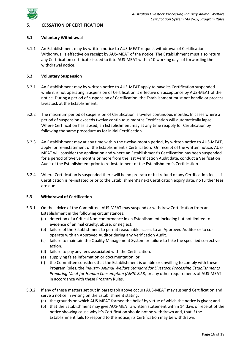

## <span id="page-15-0"></span>**5. CESSATION OF CERTIFICATION**

#### **5.1 Voluntary Withdrawal**

5.1.1 An Establishment may by written notice to AUS-MEAT request withdrawal of Certification. Withdrawal is effective on receipt by AUS-MEAT of the notice. The Establishment must also return any Certification certificate issued to it to AUS-MEAT within 10 working days of forwarding the withdrawal notice.

#### **5.2 Voluntary Suspension**

- 5.2.1 An Establishment may by written notice to AUS-MEAT apply to have its Certification suspended while it is not operating. Suspension of Certification is effective on acceptance by AUS-MEAT of the notice. During a period of suspension of Certification, the Establishment must not handle or process Livestock at the Establishment.
- 5.2.2 The maximum period of suspension of Certification is twelve continuous months. In cases where a period of suspension exceeds twelve continuous months Certification will automatically lapse. Where Certification has lapsed, an Establishment may at any time reapply for Certification by following the same procedure as for initial Certification.
- 5.2.3 An Establishment may at any time within the twelve-month period, by written notice to AUS-MEAT, apply for re-instatement of the Establishment's Certification. On receipt of the written notice, AUS-MEAT will consider the application and where an Establishment's Certification has been suspended for a period of twelve months or more from the last Verification Audit date, conduct a Verification Audit of the Establishment prior to re-instatement of the Establishment's Certification.
- 5.2.4 Where Certification is suspended there will be no pro rata or full refund of any Certification fees. If Certification is re-instated prior to the Establishment's next Certification expiry date, no further fees are due.

#### **5.3 Withdrawal of Certification**

- 5.3.1 On the advice of the Committee, AUS-MEAT may suspend or withdraw Certification from an Establishment in the following circumstances:
	- (a) detection of a Critical Non-conformance in an Establishment including but not limited to evidence of animal cruelty, abuse, or neglect.
	- (b) failure of the Establishment to permit reasonable access to an Approved Auditor or to cooperate with an Approved Auditor during any Verification Audit.
	- (c) failure to maintain the Quality Management System or failure to take the specified corrective action.
	- (d) failure to pay any fees associated with the Certification.
	- (e) supplying false information or documentation; or
	- (f) the Committee considers that the Establishment is unable or unwilling to comply with these Program Rules, the *Industry Animal Welfare Standard for Livestock Processing Establishments Preparing Meat for Human Consumption (AMIC Ed.3)* or any other requirements of AUS-MEAT in accordance with these Program Rules.
- 5.3.2 If any of these matters set out in paragraph above occurs AUS-MEAT may suspend Certification and serve a notice in writing on the Establishment stating:
	- (a) the grounds on which AUS-MEAT formed the belief by virtue of which the notice is given; and
	- (b) that the Establishment may give AUS-MEAT a written statement within 14 days of receipt of the notice showing cause why it's Certification should not be withdrawn and, that if the Establishment fails to respond to the notice, its Certification may be withdrawn.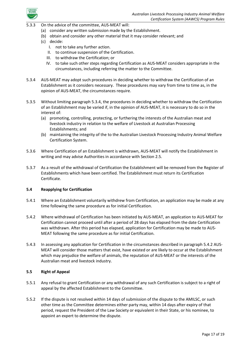

- 5.3.3 On the advice of the committee, AUS-MEAT will:
	- (a) consider any written submission made by the Establishment.
	- (b) obtain and consider any other material that it may consider relevant; and
	- (c) decide:
		- I. not to take any further action.
		- II. to continue suspension of the Certification.
		- III. to withdraw the Certification; or
		- IV. to take such other steps regarding Certification as AUS-MEAT considers appropriate in the circumstances, including referring the matter to the Committee.
- 5.3.4 AUS-MEAT may adopt such procedures in deciding whether to withdraw the Certification of an Establishment as it considers necessary. These procedures may vary from time to time as, in the opinion of AUS-MEAT, the circumstances require.
- 5.3.5 Without limiting paragraph 5.3.4, the procedures in deciding whether to withdraw the Certification of an Establishment may be varied if, in the opinion of AUS-MEAT, it is necessary to do so in the interest of:
	- (a) promoting, controlling, protecting, or furthering the interests of the Australian meat and livestock industry in relation to the welfare of Livestock at Australian Processing Establishments; and
	- (b) maintaining the integrity of the to the Australian Livestock Processing Industry Animal Welfare Certification System.
- 5.3.6 Where Certification of an Establishment is withdrawn, AUS-MEAT will notify the Establishment in writing and may advise Authorities in accordance with Section 2.5.
- 5.3.7 As a result of the withdrawal of Certification the Establishment will be removed from the Register of Establishments which have been certified. The Establishment must return its Certification Certificate.

#### **5.4 Reapplying for Certification**

- 5.4.1 Where an Establishment voluntarily withdrew from Certification, an application may be made at any time following the same procedure as for initial Certification.
- 5.4.2 Where withdrawal of Certification has been initiated by AUS-MEAT, an application to AUS-MEAT for Certification cannot proceed until after a period of 28 days has elapsed from the date Certification was withdrawn. After this period has elapsed, application for Certification may be made to AUS-MEAT following the same procedure as for initial Certification.
- 5.4.3 In assessing any application for Certification in the circumstances described in paragraph 5.4.2 AUS-MEAT will consider those matters that exist, have existed or are likely to occur at the Establishment which may prejudice the welfare of animals, the reputation of AUS-MEAT or the interests of the Australian meat and livestock industry.

#### **5.5 Right of Appeal**

- 5.5.1 Any refusal to grant Certification or any withdrawal of any such Certification is subject to a right of appeal by the affected Establishment to the Committee.
- 5.5.2 If the dispute is not resolved within 14 days of submission of the dispute to the AMILSC, or such other time as the Committee determines either party may, within 14 days after expiry of that period, request the President of the Law Society or equivalent in their State, or his nominee, to appoint an expert to determine the dispute.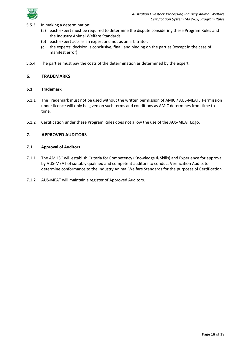

- 5.5.3 In making a determination:
	- (a) each expert must be required to determine the dispute considering these Program Rules and the Industry Animal Welfare Standards.
	- (b) each expert acts as an expert and not as an arbitrator.
	- (c) the experts' decision is conclusive, final, and binding on the parties (except in the case of manifest error).
- 5.5.4 The parties must pay the costs of the determination as determined by the expert.

#### <span id="page-17-0"></span>**6. TRADEMARKS**

#### **6.1 Trademark**

- 6.1.1 The Trademark must not be used without the written permission of AMIC / AUS-MEAT. Permission under licence will only be given on such terms and conditions as AMIC determines from time to time.
- 6.1.2 Certification under these Program Rules does not allow the use of the AUS-MEAT Logo.

## <span id="page-17-1"></span>**7. APPROVED AUDITORS**

#### **7.1 Approval of Auditors**

- 7.1.1 The AMILSC will establish Criteria for Competency (Knowledge & Skills) and Experience for approval by AUS-MEAT of suitably qualified and competent auditors to conduct Verification Audits to determine conformance to the Industry Animal Welfare Standards for the purposes of Certification.
- 7.1.2 AUS-MEAT will maintain a register of Approved Auditors.